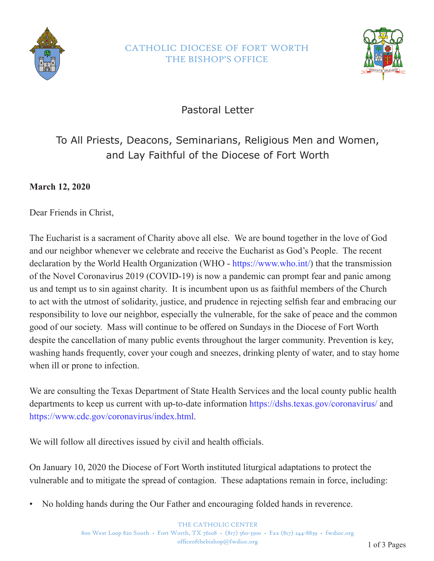

## CATHOLIC DIOCESE OF FORT WORTH THE BISHOP'S OFFICE



Pastoral Letter

## To All Priests, Deacons, Seminarians, Religious Men and Women, and Lay Faithful of the Diocese of Fort Worth

**March 12, 2020**

Dear Friends in Christ,

The Eucharist is a sacrament of Charity above all else. We are bound together in the love of God and our neighbor whenever we celebrate and receive the Eucharist as God's People. The recent declaration by the World Health Organization (WHO - https://www.who.int/) that the transmission of the Novel Coronavirus 2019 (COVID-19) is now a pandemic can prompt fear and panic among us and tempt us to sin against charity. It is incumbent upon us as faithful members of the Church to act with the utmost of solidarity, justice, and prudence in rejecting selfish fear and embracing our responsibility to love our neighbor, especially the vulnerable, for the sake of peace and the common good of our society. Mass will continue to be offered on Sundays in the Diocese of Fort Worth despite the cancellation of many public events throughout the larger community. Prevention is key, washing hands frequently, cover your cough and sneezes, drinking plenty of water, and to stay home when ill or prone to infection.

We are consulting the Texas Department of State Health Services and the local county public health departments to keep us current with up-to-date information https://dshs.texas.gov/coronavirus/ and https://www.cdc.gov/coronavirus/index.html.

We will follow all directives issued by civil and health officials.

On January 10, 2020 the Diocese of Fort Worth instituted liturgical adaptations to protect the vulnerable and to mitigate the spread of contagion. These adaptations remain in force, including:

• No holding hands during the Our Father and encouraging folded hands in reverence.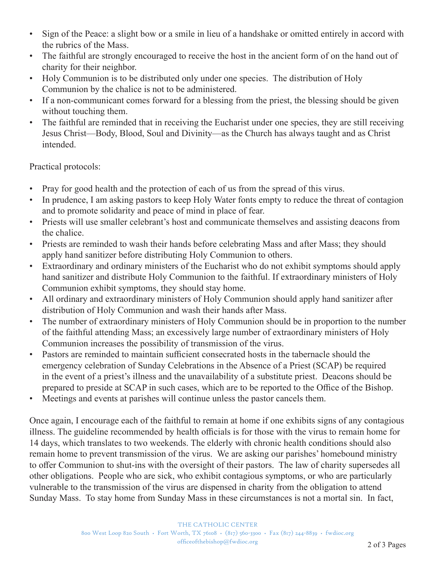- Sign of the Peace: a slight bow or a smile in lieu of a handshake or omitted entirely in accord with the rubrics of the Mass.
- The faithful are strongly encouraged to receive the host in the ancient form of on the hand out of charity for their neighbor.
- Holy Communion is to be distributed only under one species. The distribution of Holy Communion by the chalice is not to be administered.
- If a non-communicant comes forward for a blessing from the priest, the blessing should be given without touching them.
- The faithful are reminded that in receiving the Eucharist under one species, they are still receiving Jesus Christ—Body, Blood, Soul and Divinity—as the Church has always taught and as Christ intended.

Practical protocols:

- Pray for good health and the protection of each of us from the spread of this virus.
- In prudence, I am asking pastors to keep Holy Water fonts empty to reduce the threat of contagion and to promote solidarity and peace of mind in place of fear.
- Priests will use smaller celebrant's host and communicate themselves and assisting deacons from the chalice.
- Priests are reminded to wash their hands before celebrating Mass and after Mass; they should apply hand sanitizer before distributing Holy Communion to others.
- Extraordinary and ordinary ministers of the Eucharist who do not exhibit symptoms should apply hand sanitizer and distribute Holy Communion to the faithful. If extraordinary ministers of Holy Communion exhibit symptoms, they should stay home.
- All ordinary and extraordinary ministers of Holy Communion should apply hand sanitizer after distribution of Holy Communion and wash their hands after Mass.
- The number of extraordinary ministers of Holy Communion should be in proportion to the number of the faithful attending Mass; an excessively large number of extraordinary ministers of Holy Communion increases the possibility of transmission of the virus.
- Pastors are reminded to maintain sufficient consecrated hosts in the tabernacle should the emergency celebration of Sunday Celebrations in the Absence of a Priest (SCAP) be required in the event of a priest's illness and the unavailability of a substitute priest. Deacons should be prepared to preside at SCAP in such cases, which are to be reported to the Office of the Bishop.
- Meetings and events at parishes will continue unless the pastor cancels them.

Once again, I encourage each of the faithful to remain at home if one exhibits signs of any contagious illness. The guideline recommended by health officials is for those with the virus to remain home for 14 days, which translates to two weekends. The elderly with chronic health conditions should also remain home to prevent transmission of the virus. We are asking our parishes' homebound ministry to offer Communion to shut-ins with the oversight of their pastors. The law of charity supersedes all other obligations. People who are sick, who exhibit contagious symptoms, or who are particularly vulnerable to the transmission of the virus are dispensed in charity from the obligation to attend Sunday Mass. To stay home from Sunday Mass in these circumstances is not a mortal sin. In fact,